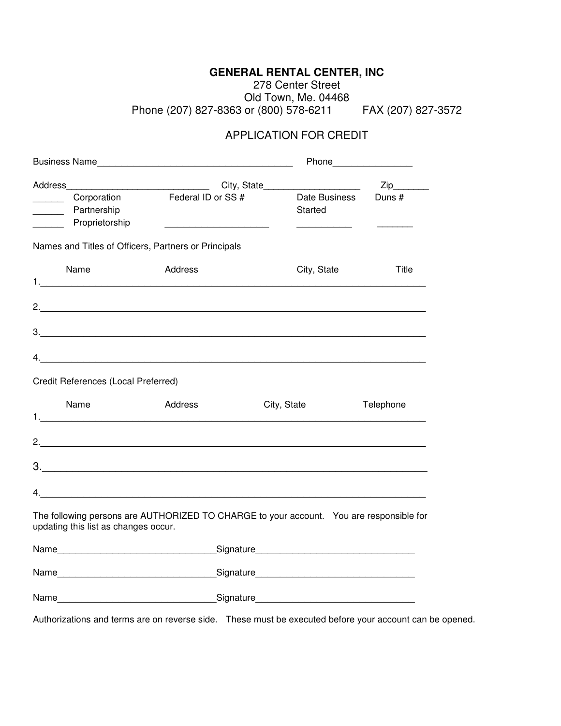## **GENERAL RENTAL CENTER, INC**

278 Center Street Old Town, Me. 04468 Phone (207) 827-8363 or (800) 578-6211 FAX (207) 827-3572

## APPLICATION FOR CREDIT

| Address                                                                                              |                                                                                                          | City, State              | Zip       |
|------------------------------------------------------------------------------------------------------|----------------------------------------------------------------------------------------------------------|--------------------------|-----------|
| Corporation<br>Partnership<br>$\overline{\phantom{a}}$<br>Proprietorship<br>$\overline{\phantom{a}}$ | Federal ID or SS #                                                                                       | Date Business<br>Started | Duns#     |
|                                                                                                      | Names and Titles of Officers, Partners or Principals                                                     |                          |           |
| Name                                                                                                 | Address                                                                                                  | City, State              | Title     |
|                                                                                                      |                                                                                                          |                          |           |
|                                                                                                      |                                                                                                          |                          |           |
|                                                                                                      |                                                                                                          |                          |           |
| Credit References (Local Preferred)                                                                  |                                                                                                          |                          |           |
| Name                                                                                                 | Address                                                                                                  | City, State              | Telephone |
|                                                                                                      |                                                                                                          |                          |           |
|                                                                                                      |                                                                                                          |                          |           |
|                                                                                                      |                                                                                                          |                          |           |
| updating this list as changes occur.                                                                 | The following persons are AUTHORIZED TO CHARGE to your account. You are responsible for                  |                          |           |
|                                                                                                      |                                                                                                          |                          |           |
|                                                                                                      |                                                                                                          |                          |           |
|                                                                                                      |                                                                                                          |                          |           |
|                                                                                                      | Authorizations and terms are on reverse side.  These must be executed before your account can be opened. |                          |           |